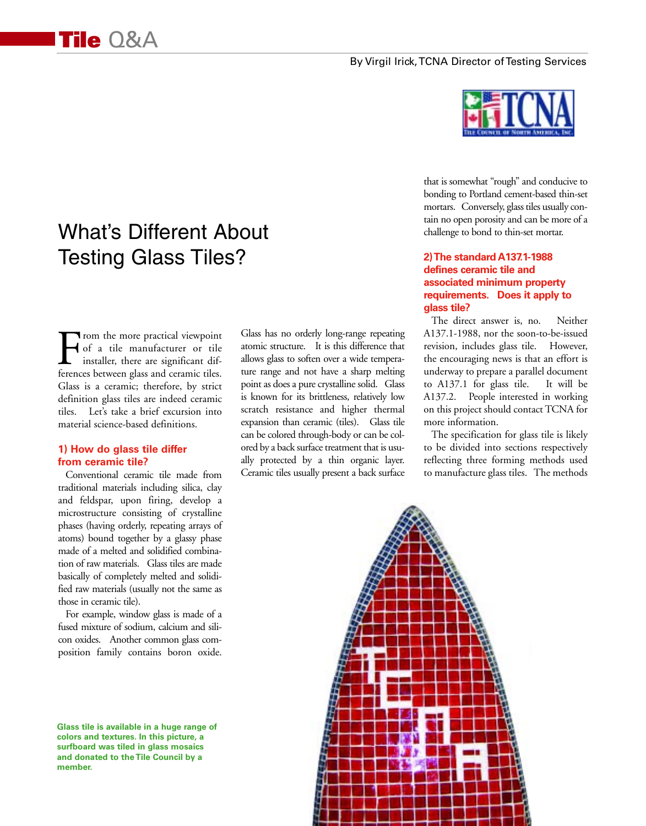#### By Virgil Irick, TCNA Director of Testing Services

# What's Different About Testing Glass Tiles?

From the more practical viewpoint<br>of a tile manufacturer or tile<br>installer, there are significant dif-<br>ferences between glass and ceramic tiles. of a tile manufacturer or tile installer, there are significant differences between glass and ceramic tiles. Glass is a ceramic; therefore, by strict definition glass tiles are indeed ceramic tiles. Let's take a brief excursion into material science-based definitions.

#### **1) How do glass tile differ from ceramic tile?**

Conventional ceramic tile made from traditional materials including silica, clay and feldspar, upon firing, develop a microstructure consisting of crystalline phases (having orderly, repeating arrays of atoms) bound together by a glassy phase made of a melted and solidified combination of raw materials. Glass tiles are made basically of completely melted and solidified raw materials (usually not the same as those in ceramic tile).

For example, window glass is made of a fused mixture of sodium, calcium and silicon oxides. Another common glass composition family contains boron oxide.

**Glass tile is available in a huge range of colors and textures. In this picture, a surfboard was tiled in glass mosaics and donated to the Tile Council by a member.**

Glass has no orderly long-range repeating atomic structure. It is this difference that allows glass to soften over a wide temperature range and not have a sharp melting point as does a pure crystalline solid. Glass is known for its brittleness, relatively low scratch resistance and higher thermal expansion than ceramic (tiles). Glass tile can be colored through-body or can be colored by a back surface treatment that is usually protected by a thin organic layer. Ceramic tiles usually present a back surface



that is somewhat "rough" and conducive to bonding to Portland cement-based thin-set mortars. Conversely, glass tiles usually contain no open porosity and can be more of a challenge to bond to thin-set mortar.

### **2) The standard A137.1-1988 defines ceramic tile and associated minimum property requirements. Does it apply to glass tile?**

The direct answer is, no. Neither A137.1-1988, nor the soon-to-be-issued revision, includes glass tile. However, the encouraging news is that an effort is underway to prepare a parallel document to A137.1 for glass tile. It will be A137.2. People interested in working on this project should contact TCNA for more information.

The specification for glass tile is likely to be divided into sections respectively reflecting three forming methods used to manufacture glass tiles. The methods

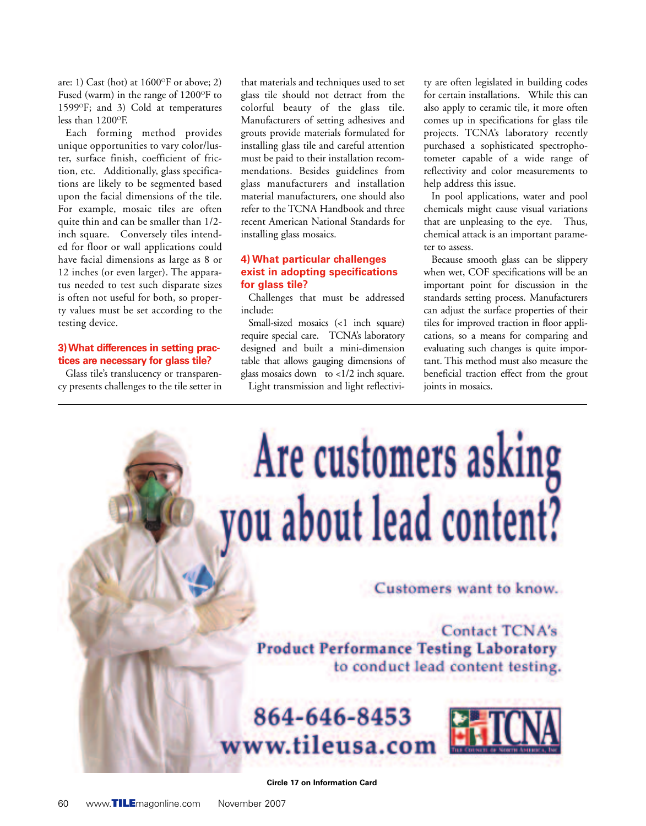are: 1) Cast (hot) at  $1600^{\circ}$ F or above; 2) Fused (warm) in the range of  $1200^\circ F$  to 1599°F; and 3) Cold at temperatures less than 1200°F.

Each forming method provides unique opportunities to vary color/luster, surface finish, coefficient of friction, etc. Additionally, glass specifications are likely to be segmented based upon the facial dimensions of the tile. For example, mosaic tiles are often quite thin and can be smaller than 1/2 inch square. Conversely tiles intended for floor or wall applications could have facial dimensions as large as 8 or 12 inches (or even larger). The apparatus needed to test such disparate sizes is often not useful for both, so property values must be set according to the testing device.

#### **3) What differences in setting practices are necessary for glass tile?**

Glass tile's translucency or transparency presents challenges to the tile setter in that materials and techniques used to set glass tile should not detract from the colorful beauty of the glass tile. Manufacturers of setting adhesives and grouts provide materials formulated for installing glass tile and careful attention must be paid to their installation recommendations. Besides guidelines from glass manufacturers and installation material manufacturers, one should also refer to the TCNA Handbook and three recent American National Standards for installing glass mosaics.

#### **4) What particular challenges exist in adopting specifications for glass tile?**

Challenges that must be addressed include:

Small-sized mosaics (<1 inch square) require special care. TCNA's laboratory designed and built a mini-dimension table that allows gauging dimensions of glass mosaics down to <1/2 inch square. Light transmission and light reflectivi-

ty are often legislated in building codes for certain installations. While this can also apply to ceramic tile, it more often comes up in specifications for glass tile projects. TCNA's laboratory recently purchased a sophisticated spectrophotometer capable of a wide range of reflectivity and color measurements to help address this issue.

In pool applications, water and pool chemicals might cause visual variations that are unpleasing to the eye. Thus, chemical attack is an important parameter to assess.

Because smooth glass can be slippery when wet, COF specifications will be an important point for discussion in the standards setting process. Manufacturers can adjust the surface properties of their tiles for improved traction in floor applications, so a means for comparing and evaluating such changes is quite important. This method must also measure the beneficial traction effect from the grout joints in mosaics.



**Circle 17 on Information Card**